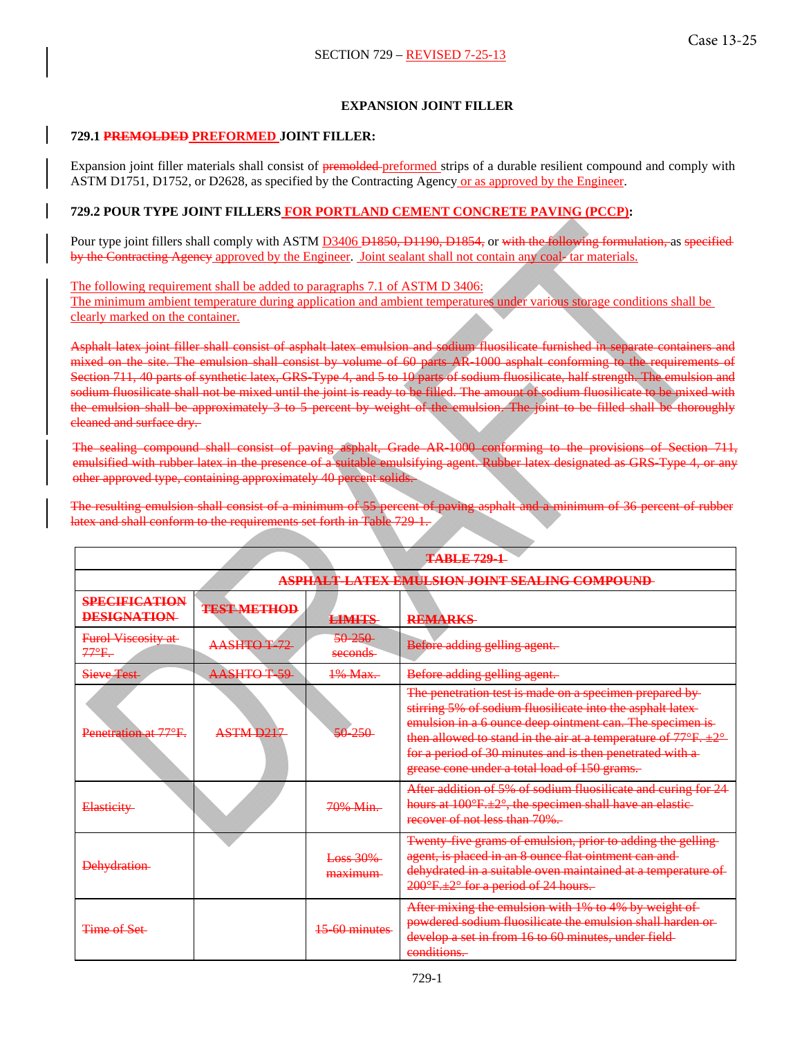# **EXPANSION JOINT FILLER**

### **729.1 PREMOLDED PREFORMED JOINT FILLER:**

Expansion joint filler materials shall consist of premolded-preformed strips of a durable resilient compound and comply with ASTM D1751, D1752, or D2628, as specified by the Contracting Agency or as approved by the Engineer.

# **729.2 POUR TYPE JOINT FILLERS FOR PORTLAND CEMENT CONCRETE PAVING (PCCP):**

Pour type joint fillers shall comply with ASTM D3406 D1850, D1190, D1854, or with the following formulation, as specified by the Contracting Agency approved by the Engineer. Joint sealant shall not contain any coal- tar materials.

The following requirement shall be added to paragraphs 7.1 of ASTM D 3406: The minimum ambient temperature during application and ambient temperatures under various storage conditions shall be clearly marked on the container.

Asphalt latex joint filler shall consist of asphalt latex emulsion and sodium fluosilicate furnished in separate containers and mixed on the site. The emulsion shall consist by volume of 60 parts AR-1000 asphalt conforming to the requirements of Section 711, 40 parts of synthetic latex, GRS-Type 4, and 5 to 10 parts of sodium fluosilicate, half strength. The emulsion and sodium fluosilicate shall not be mixed until the joint is ready to be filled. The amount of sodium fluosilicate to be mixed with the emulsion shall be approximately 3 to 5 percent by weight of the emulsion. The joint to be filled shall be thoroughly cleaned and surface dry.

The sealing compound shall consist of paving asphalt, Grade AR-1000 conforming to the provisions of Section 711, emulsified with rubber latex in the presence of a suitable emulsifying agent. Rubber latex designated as GRS-Type 4, or any other approved type, containing approximately 40 percent solids.

The resulting emulsion shall consist of a minimum of 55 percent of paving asphalt and a minimum of 36 percent of rubber latex and shall conform to the requirements set forth in Table 729-1.

| <b>TABLE 729-1</b>                            |                       |                     |                                                                                                                                                                                                                                                                                                                                                                                         |
|-----------------------------------------------|-----------------------|---------------------|-----------------------------------------------------------------------------------------------------------------------------------------------------------------------------------------------------------------------------------------------------------------------------------------------------------------------------------------------------------------------------------------|
| ASPHALT-LATEX EMULSION JOINT SEALING COMPOUND |                       |                     |                                                                                                                                                                                                                                                                                                                                                                                         |
| <b>SPECIFICATION</b><br><b>DESIGNATION</b>    | <b>TEST METHOD</b>    | <b>LIMITS</b>       | <b>REMARKS</b>                                                                                                                                                                                                                                                                                                                                                                          |
| <b>Furol Viscosity at-</b><br>$77^\circ F$ .  | <b>AASHTO T 72</b>    | 50 250<br>seconds-  | Before adding gelling agent.                                                                                                                                                                                                                                                                                                                                                            |
| <b>Sieve Test</b>                             | AASHTOT 59            | 1% Max.             | Before adding gelling agent.                                                                                                                                                                                                                                                                                                                                                            |
| Penetration at 77°F.                          | ASTM D <sub>217</sub> | $50 - 250$          | The penetration test is made on a specimen prepared by-<br>stirring 5% of sodium fluosilicate into the asphalt latex-<br>emulsion in a 6 ounce deep ointment can. The specimen is-<br>then allowed to stand in the air at a temperature of $77^{\circ}F$ . $\pm 2^{\circ}$<br>for a period of 30 minutes and is then penetrated with a-<br>grease cone under a total load of 150 grams. |
| <b>Elasticity</b>                             |                       | 70% Min.            | After addition of 5% of sodium fluosilicate and curing for 24<br>hours at 100°F.±2°, the specimen shall have an elastic-<br>recover of not less than 70%.                                                                                                                                                                                                                               |
| <b>Dehydration</b>                            |                       | Loss 30%<br>maximum | Twenty five grams of emulsion, prior to adding the gelling-<br>agent, is placed in an 8 ounce flat ointment can and-<br>dehydrated in a suitable oven maintained at a temperature of<br>200°F.±2° for a period of 24 hours.                                                                                                                                                             |
| Time of Set                                   |                       | 15 60 minutes       | After mixing the emulsion with 1% to 4% by weight of-<br>powdered sodium fluosilicate the emulsion shall harden or-<br>develop a set in from 16 to 60 minutes, under field-<br>conditions.                                                                                                                                                                                              |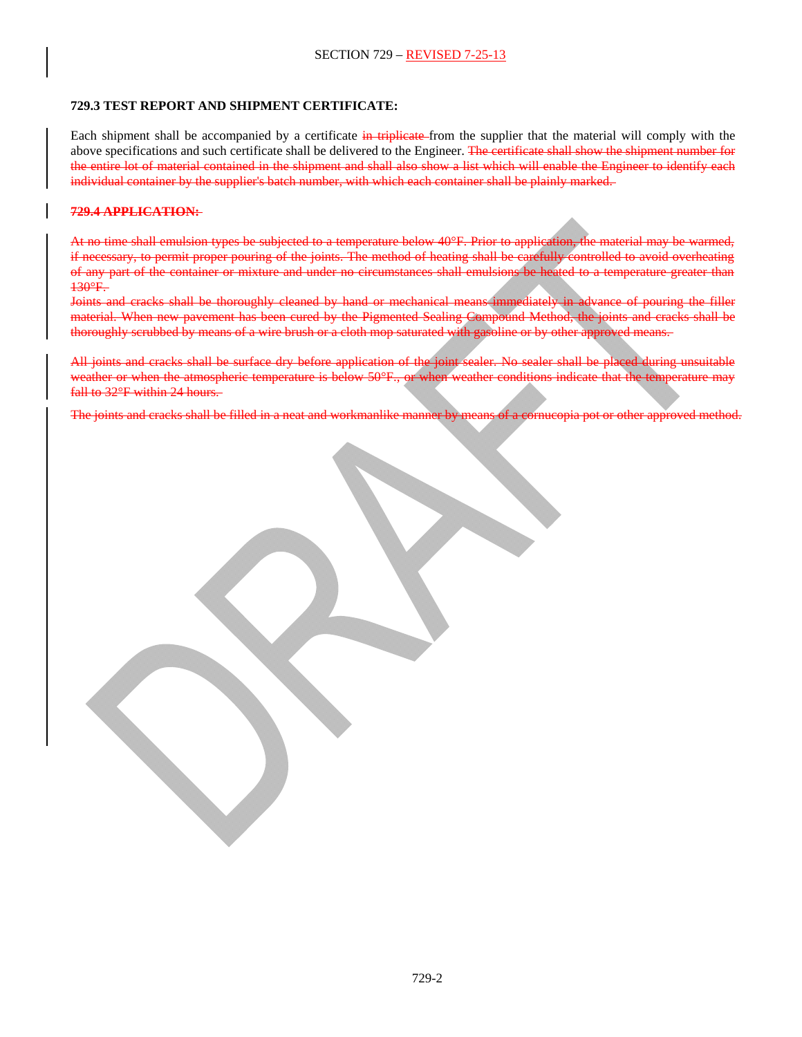### **729.3 TEST REPORT AND SHIPMENT CERTIFICATE:**

Each shipment shall be accompanied by a certificate in triplicate-from the supplier that the material will comply with the above specifications and such certificate shall be delivered to the Engineer. The certificate shall show the shipment number for the entire lot of material contained in the shipment and shall also show a list which will enable the Engineer to identify each individual container by the supplier's batch number, with which each container shall be plainly marked.

### **729.4 APPLICATION:**

At no time shall emulsion types be subjected to a temperature below 40°F. Prior to application, the material may be warmed, if necessary, to permit proper pouring of the joints. The method of heating shall be carefully controlled to avoid overheating of any part of the container or mixture and under no circumstances shall emulsions be heated to a temperature greater than 130°F.

Joints and cracks shall be thoroughly cleaned by hand or mechanical means immediately in advance of pouring the filler material. When new pavement has been cured by the Pigmented Sealing Compound Method, the joints and cracks shall be thoroughly scrubbed by means of a wire brush or a cloth mop saturated with gasoline or by other approved means.

All joints and cracks shall be surface dry before application of the joint sealer. No sealer shall be placed during unsuitable weather or when the atmospheric temperature is below 50°F., or when weather conditions indicate that the temperature may fall to 32°F within 24 hours.

The joints and cracks shall be filled in a neat and workmanlike manner by means of a cornucopia pot or other approved method.